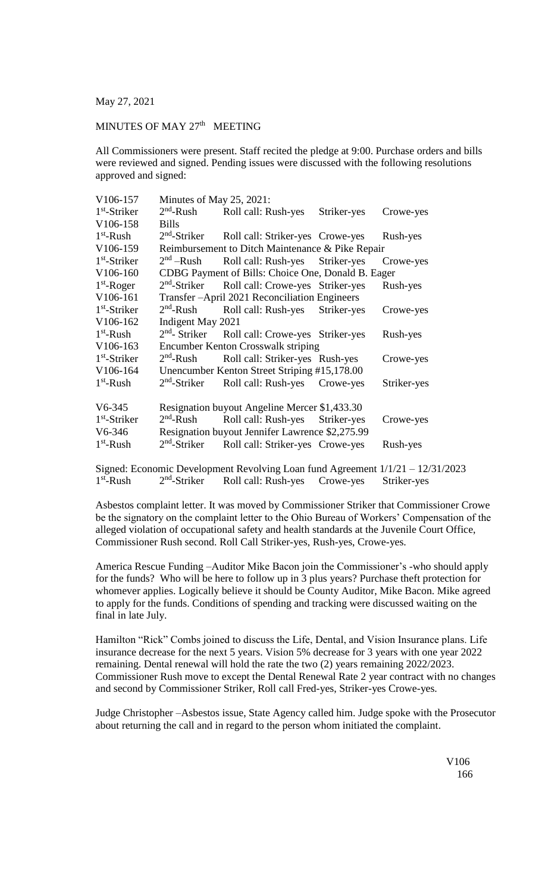May 27, 2021

## MINUTES OF MAY 27<sup>th</sup> MEETING

All Commissioners were present. Staff recited the pledge at 9:00. Purchase orders and bills were reviewed and signed. Pending issues were discussed with the following resolutions approved and signed:

| V106-157       | Minutes of May $25$ , $2021$ :                     |                                  |             |             |  |
|----------------|----------------------------------------------------|----------------------------------|-------------|-------------|--|
| $1st$ -Striker | $2nd$ -Rush                                        | Roll call: Rush-yes              | Striker-yes | Crowe-yes   |  |
| V106-158       | <b>Bills</b>                                       |                                  |             |             |  |
| $1st$ -Rush    | $2nd$ -Striker                                     | Roll call: Striker-yes Crowe-yes |             | Rush-yes    |  |
| V106-159       | Reimbursement to Ditch Maintenance & Pike Repair   |                                  |             |             |  |
| $1st$ -Striker | $2nd$ –Rush                                        | Roll call: Rush-yes Striker-yes  |             | Crowe-yes   |  |
| V106-160       | CDBG Payment of Bills: Choice One, Donald B. Eager |                                  |             |             |  |
| $1st$ -Roger   | $2nd$ -Striker                                     | Roll call: Crowe-yes Striker-yes |             | Rush-yes    |  |
| V106-161       | Transfer-April 2021 Reconciliation Engineers       |                                  |             |             |  |
| $1st$ -Striker | $2nd$ -Rush                                        | Roll call: Rush-yes              | Striker-yes | Crowe-yes   |  |
| V106-162       | Indigent May 2021                                  |                                  |             |             |  |
| $1st$ -Rush    | $2nd$ - Striker                                    | Roll call: Crowe-yes Striker-yes |             | Rush-yes    |  |
| V106-163       | Encumber Kenton Crosswalk striping                 |                                  |             |             |  |
| $1st$ -Striker | $2nd$ -Rush                                        | Roll call: Striker-yes Rush-yes  |             | Crowe-yes   |  |
| V106-164       | Unencumber Kenton Street Striping #15,178.00       |                                  |             |             |  |
| $1st$ -Rush    | $2nd$ -Striker                                     | Roll call: Rush-yes              | Crowe-yes   | Striker-yes |  |
| $V6-345$       | Resignation buyout Angeline Mercer \$1,433.30      |                                  |             |             |  |
| $1st$ -Striker | $2nd$ -Rush                                        | Roll call: Rush-yes              | Striker-yes | Crowe-yes   |  |
| $V6-346$       | Resignation buyout Jennifer Lawrence \$2,275.99    |                                  |             |             |  |
| $1st$ -Rush    | $2nd$ -Striker                                     | Roll call: Striker-yes Crowe-yes |             | Rush-yes    |  |
|                |                                                    |                                  |             |             |  |

Signed: Economic Development Revolving Loan fund Agreement 1/1/21 – 12/31/2023  $1<sup>st</sup>$ -Rush 2  $2<sup>nd</sup>$ -Striker Roll call: Rush-yes Crowe-yes Striker-yes

Asbestos complaint letter. It was moved by Commissioner Striker that Commissioner Crowe be the signatory on the complaint letter to the Ohio Bureau of Workers' Compensation of the alleged violation of occupational safety and health standards at the Juvenile Court Office, Commissioner Rush second. Roll Call Striker-yes, Rush-yes, Crowe-yes.

America Rescue Funding –Auditor Mike Bacon join the Commissioner's -who should apply for the funds? Who will be here to follow up in 3 plus years? Purchase theft protection for whomever applies. Logically believe it should be County Auditor, Mike Bacon. Mike agreed to apply for the funds. Conditions of spending and tracking were discussed waiting on the final in late July.

Hamilton "Rick" Combs joined to discuss the Life, Dental, and Vision Insurance plans. Life insurance decrease for the next 5 years. Vision 5% decrease for 3 years with one year 2022 remaining. Dental renewal will hold the rate the two (2) years remaining 2022/2023. Commissioner Rush move to except the Dental Renewal Rate 2 year contract with no changes and second by Commissioner Striker, Roll call Fred-yes, Striker-yes Crowe-yes.

Judge Christopher –Asbestos issue, State Agency called him. Judge spoke with the Prosecutor about returning the call and in regard to the person whom initiated the complaint.